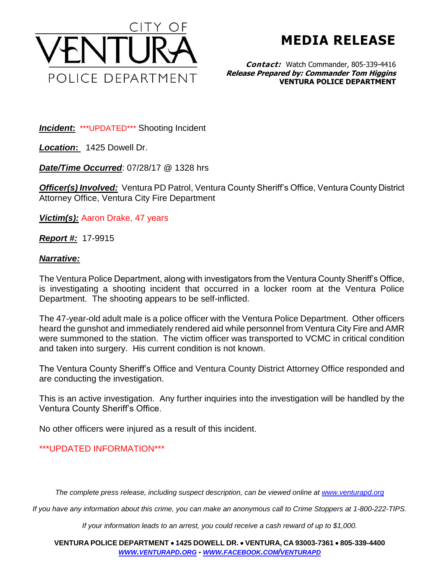

**MEDIA RELEASE**

**Contact:** Watch Commander, 805-339-4416 **Release Prepared by: Commander Tom Higgins VENTURA POLICE DEPARTMENT**

*Incident***:** \*\*\*UPDATED\*\*\* Shooting Incident

*Location***:** 1425 Dowell Dr.

*Date/Time Occurred*: 07/28/17 @ 1328 hrs

**Officer(s) Involved:** Ventura PD Patrol, Ventura County Sheriff's Office, Ventura County District Attorney Office, Ventura City Fire Department

*Victim(s):* Aaron Drake, 47 years

*Report #:* 17-9915

## *Narrative:*

The Ventura Police Department, along with investigators from the Ventura County Sheriff's Office, is investigating a shooting incident that occurred in a locker room at the Ventura Police Department. The shooting appears to be self-inflicted.

The 47-year-old adult male is a police officer with the Ventura Police Department. Other officers heard the gunshot and immediately rendered aid while personnel from Ventura City Fire and AMR were summoned to the station. The victim officer was transported to VCMC in critical condition and taken into surgery. His current condition is not known.

The Ventura County Sheriff's Office and Ventura County District Attorney Office responded and are conducting the investigation.

This is an active investigation. Any further inquiries into the investigation will be handled by the Ventura County Sheriff's Office.

No other officers were injured as a result of this incident.

## \*\*\*UPDATED INFORMATION\*\*\*

*The complete press release, including suspect description, can be viewed online at [www.venturapd.org](http://www.venturapd.org/)*

*If you have any information about this crime, you can make an anonymous call to Crime Stoppers at 1-800-222-TIPS.*

*If your information leads to an arrest, you could receive a cash reward of up to \$1,000.*

**VENTURA POLICE DEPARTMENT 1425 DOWELL DR. VENTURA, CA 93003-7361 805-339-4400**  *WWW.[VENTURAPD](http://www.venturapd.org/).ORG* **-** *WWW.FACEBOOK.COM/[VENTURAPD](http://www.facebook.com/venturapd)*